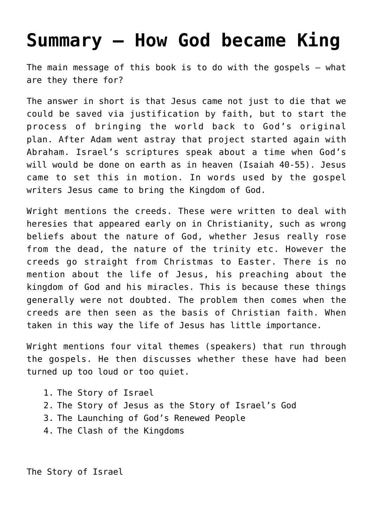## **[Summary – How God became King](https://caleboloan.me.uk/summary-how-god-became-king/)**

The main message of this book is to do with the gospels – what are they there for?

The answer in short is that Jesus came not just to die that we could be saved via justification by faith, but to start the process of bringing the world back to God's original plan. After Adam went astray that project started again with Abraham. Israel's scriptures speak about a time when God's will would be done on earth as in heaven (Isaiah 40-55). Jesus came to set this in motion. In words used by the gospel writers Jesus came to bring the Kingdom of God.

Wright mentions the creeds. These were written to deal with heresies that appeared early on in Christianity, such as wrong beliefs about the nature of God, whether Jesus really rose from the dead, the nature of the trinity etc. However the creeds go straight from Christmas to Easter. There is no mention about the life of Jesus, his preaching about the kingdom of God and his miracles. This is because these things generally were not doubted. The problem then comes when the creeds are then seen as the basis of Christian faith. When taken in this way the life of Jesus has little importance.

Wright mentions four vital themes (speakers) that run through the gospels. He then discusses whether these have had been turned up too loud or too quiet.

- 1. The Story of Israel
- 2. The Story of Jesus as the Story of Israel's God
- 3. The Launching of God's Renewed People
- 4. The Clash of the Kingdoms

The Story of Israel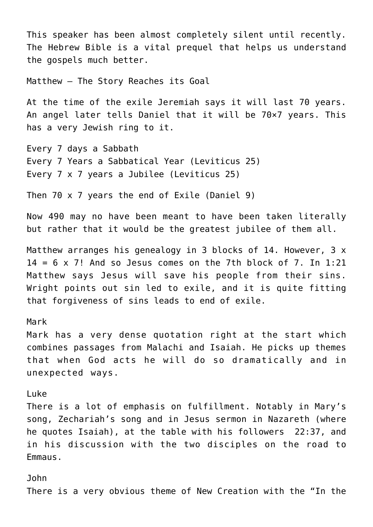This speaker has been almost completely silent until recently. The Hebrew Bible is a vital prequel that helps us understand the gospels much better.

Matthew – The Story Reaches its Goal

At the time of the exile Jeremiah says it will last 70 years. An angel later tells Daniel that it will be 70×7 years. This has a very Jewish ring to it.

Every 7 days a Sabbath Every 7 Years a Sabbatical Year (Leviticus 25) Every 7 x 7 years a Jubilee (Leviticus 25)

Then 70 x 7 years the end of Exile (Daniel 9)

Now 490 may no have been meant to have been taken literally but rather that it would be the greatest jubilee of them all.

Matthew arranges his genealogy in 3 blocks of 14. However, 3 x  $14 = 6 \times 7!$  And so Jesus comes on the 7th block of 7. In 1:21 Matthew says Jesus will save his people from their sins. Wright points out sin led to exile, and it is quite fitting that forgiveness of sins leads to end of exile.

#### Mark

Mark has a very dense quotation right at the start which combines passages from Malachi and Isaiah. He picks up themes that when God acts he will do so dramatically and in unexpected ways.

#### Luke

There is a lot of emphasis on fulfillment. Notably in Mary's song, Zechariah's song and in Jesus sermon in Nazareth (where he quotes Isaiah), at the table with his followers 22:37, and in his discussion with the two disciples on the road to Emmaus.

John There is a very obvious theme of New Creation with the "In the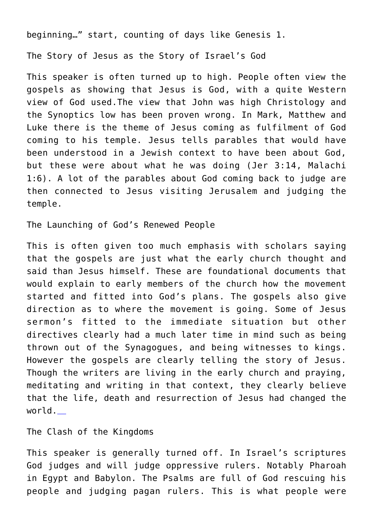beginning…" start, counting of days like Genesis 1.

The Story of Jesus as the Story of Israel's God

This speaker is often turned up to high. People often view the gospels as showing that Jesus is God, with a quite Western view of God used.The view that John was high Christology and the Synoptics low has been proven wrong. In Mark, Matthew and Luke there is the theme of Jesus coming as fulfilment of God coming to his temple. Jesus tells parables that would have been understood in a Jewish context to have been about God, but these were about what he was doing (Jer 3:14, Malachi 1:6). A lot of the parables about God coming back to judge are then connected to Jesus visiting Jerusalem and judging the temple.

The Launching of God's Renewed People

This is often given too much emphasis with scholars saying that the gospels are just what the early church thought and said than Jesus himself. These are foundational documents that would explain to early members of the church how the movement started and fitted into God's plans. The gospels also give direction as to where the movement is going. Some of Jesus sermon's fitted to the immediate situation but other directives clearly had a much later time in mind such as being thrown out of the Synagogues, and being witnesses to kings. However the gospels are clearly telling the story of Jesus. Though the writers are living in the early church and praying, meditating and writing in that context, they clearly believe that the life, death and resurrection of Jesus had changed the world.

The Clash of the Kingdoms

This speaker is generally turned off. In Israel's scriptures God judges and will judge oppressive rulers. Notably Pharoah in Egypt and Babylon. The Psalms are full of God rescuing his people and judging pagan rulers. This is what people were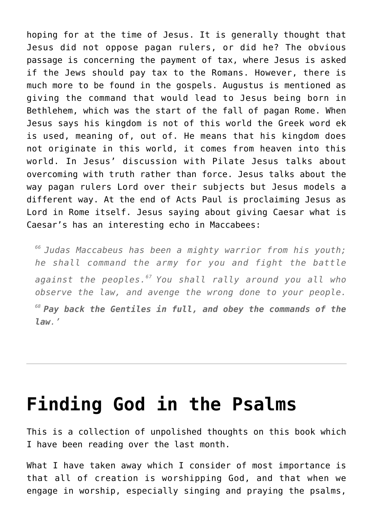hoping for at the time of Jesus. It is generally thought that Jesus did not oppose pagan rulers, or did he? The obvious passage is concerning the payment of tax, where Jesus is asked if the Jews should pay tax to the Romans. However, there is much more to be found in the gospels. Augustus is mentioned as giving the command that would lead to Jesus being born in Bethlehem, which was the start of the fall of pagan Rome. When Jesus says his kingdom is not of this world the Greek word ek is used, meaning of, out of. He means that his kingdom does not originate in this world, it comes from heaven into this world. In Jesus' discussion with Pilate Jesus talks about overcoming with truth rather than force. Jesus talks about the way pagan rulers Lord over their subjects but Jesus models a different way. At the end of Acts Paul is proclaiming Jesus as Lord in Rome itself. Jesus saying about giving Caesar what is Caesar's has an interesting echo in Maccabees:

*<sup>66</sup>Judas Maccabeus has been a mighty warrior from his youth; he shall command the army for you and fight the battle against the peoples.<sup>67</sup>You shall rally around you all who observe the law, and avenge the wrong done to your people. <sup>68</sup>Pay back the Gentiles in full, and obey the commands of the law.'*

### **[Finding God in the Psalms](https://caleboloan.me.uk/finding-god-in-the-psalms/)**

This is a collection of unpolished thoughts on this book which I have been reading over the last month.

What I have taken away which I consider of most importance is that all of creation is worshipping God, and that when we engage in worship, especially singing and praying the psalms,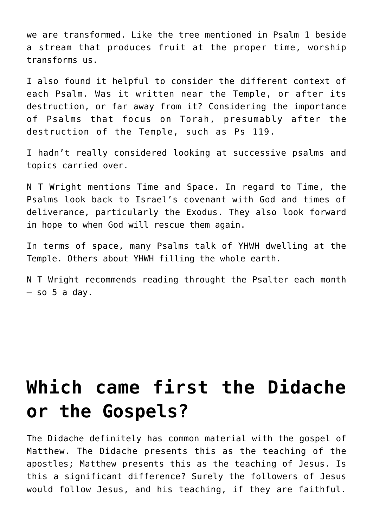we are transformed. Like the tree mentioned in Psalm 1 beside a stream that produces fruit at the proper time, worship transforms us.

I also found it helpful to consider the different context of each Psalm. Was it written near the Temple, or after its destruction, or far away from it? Considering the importance of Psalms that focus on Torah, presumably after the destruction of the Temple, such as Ps 119.

I hadn't really considered looking at successive psalms and topics carried over.

N T Wright mentions Time and Space. In regard to Time, the Psalms look back to Israel's covenant with God and times of deliverance, particularly the Exodus. They also look forward in hope to when God will rescue them again.

In terms of space, many Psalms talk of YHWH dwelling at the Temple. Others about YHWH filling the whole earth.

N T Wright recommends reading throught the Psalter each month  $-$  so 5 a day.

## **[Which came first the Didache](https://caleboloan.me.uk/which-came-first-the-didache-or-the-gospels/) [or the Gospels?](https://caleboloan.me.uk/which-came-first-the-didache-or-the-gospels/)**

The Didache definitely has common material with the gospel of Matthew. The Didache presents this as the teaching of the apostles; Matthew presents this as the teaching of Jesus. Is this a significant difference? Surely the followers of Jesus would follow Jesus, and his teaching, if they are faithful.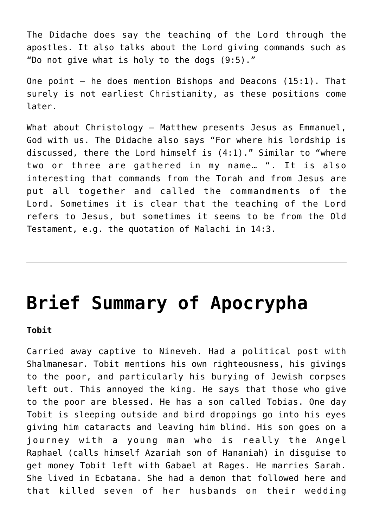The Didache does say the teaching of the Lord through the apostles. It also talks about the Lord giving commands such as "Do not give what is holy to the dogs (9:5)."

One point  $-$  he does mention Bishops and Deacons (15:1). That surely is not earliest Christianity, as these positions come later.

What about Christology – Matthew presents Jesus as Emmanuel, God with us. The Didache also says "For where his lordship is discussed, there the Lord himself is (4:1)." Similar to "where two or three are gathered in my name… ". It is also interesting that commands from the Torah and from Jesus are put all together and called the commandments of the Lord. Sometimes it is clear that the teaching of the Lord refers to Jesus, but sometimes it seems to be from the Old Testament, e.g. the quotation of Malachi in 14:3.

## **[Brief Summary of Apocrypha](https://caleboloan.me.uk/brief-summary-of-apocrypha/)**

**Tobit**

Carried away captive to Nineveh. Had a political post with Shalmanesar. Tobit mentions his own righteousness, his givings to the poor, and particularly his burying of Jewish corpses left out. This annoyed the king. He says that those who give to the poor are blessed. He has a son called Tobias. One day Tobit is sleeping outside and bird droppings go into his eyes giving him cataracts and leaving him blind. His son goes on a journey with a young man who is really the Angel Raphael (calls himself Azariah son of Hananiah) in disguise to get money Tobit left with Gabael at Rages. He marries Sarah. She lived in Ecbatana. She had a demon that followed here and that killed seven of her husbands on their wedding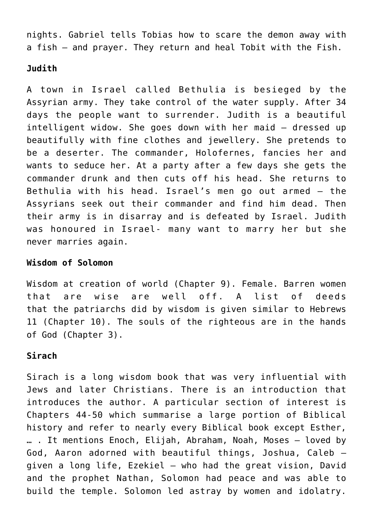nights. Gabriel tells Tobias how to scare the demon away with a fish – and prayer. They return and heal Tobit with the Fish.

### **Judith**

A town in Israel called Bethulia is besieged by the Assyrian army. They take control of the water supply. After 34 days the people want to surrender. Judith is a beautiful intelligent widow. She goes down with her maid – dressed up beautifully with fine clothes and jewellery. She pretends to be a deserter. The commander, Holofernes, fancies her and wants to seduce her. At a party after a few days she gets the commander drunk and then cuts off his head. She returns to Bethulia with his head. Israel's men go out armed – the Assyrians seek out their commander and find him dead. Then their army is in disarray and is defeated by Israel. Judith was honoured in Israel- many want to marry her but she never marries again.

#### **Wisdom of Solomon**

Wisdom at creation of world (Chapter 9). Female. Barren women that are wise are well off. A list of deeds that the patriarchs did by wisdom is given similar to Hebrews 11 (Chapter 10). The souls of the righteous are in the hands of God (Chapter 3).

### **Sirach**

Sirach is a long wisdom book that was very influential with Jews and later Christians. There is an introduction that introduces the author. A particular section of interest is Chapters 44-50 which summarise a large portion of Biblical history and refer to nearly every Biblical book except Esther, … . It mentions Enoch, Elijah, Abraham, Noah, Moses – loved by God, Aaron adorned with beautiful things, Joshua, Caleb – given a long life, Ezekiel – who had the great vision, David and the prophet Nathan, Solomon had peace and was able to build the temple. Solomon led astray by women and idolatry.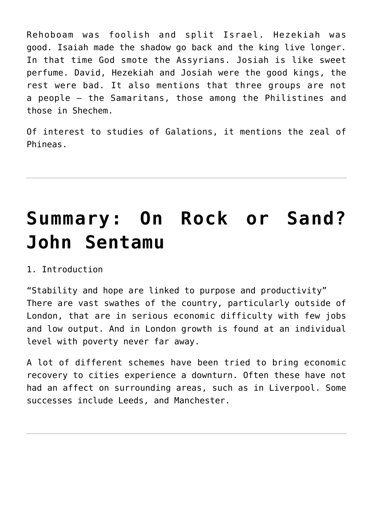Rehoboam was foolish and split Israel. Hezekiah was good. Isaiah made the shadow go back and the king live longer. In that time God smote the Assyrians. Josiah is like sweet perfume. David, Hezekiah and Josiah were the good kings, the rest were bad. It also mentions that three groups are not a people – the Samaritans, those among the Philistines and those in Shechem.

Of interest to studies of Galations, it mentions the zeal of Phineas.

# **[Summary: On Rock or Sand?](https://caleboloan.me.uk/summary-on-rock-or-sand-john-sentamu/) [John Sentamu](https://caleboloan.me.uk/summary-on-rock-or-sand-john-sentamu/)**

1. Introduction

"Stability and hope are linked to purpose and productivity" There are vast swathes of the country, particularly outside of London, that are in serious economic difficulty with few jobs and low output. And in London growth is found at an individual level with poverty never far away.

A lot of different schemes have been tried to bring economic recovery to cities experience a downturn. Often these have not had an affect on surrounding areas, such as in Liverpool. Some successes include Leeds, and Manchester.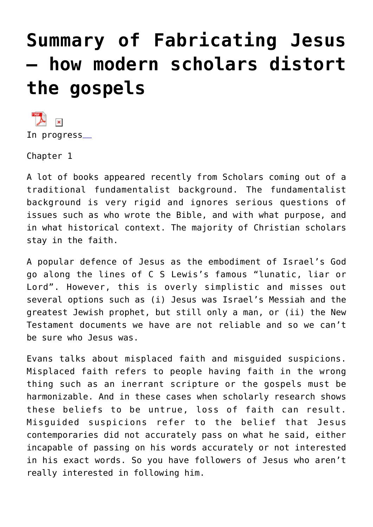# **[Summary of Fabricating Jesus](https://caleboloan.me.uk/summary-of-fabricating-jesus-how-modern-scholars-distort-the-gospels/) [– how modern scholars distort](https://caleboloan.me.uk/summary-of-fabricating-jesus-how-modern-scholars-distort-the-gospels/) [the gospels](https://caleboloan.me.uk/summary-of-fabricating-jesus-how-modern-scholars-distort-the-gospels/)**

 $\mathbf x$ In progress\_

Chapter 1

A lot of books appeared recently from Scholars coming out of a traditional fundamentalist background. The fundamentalist background is very rigid and ignores serious questions of issues such as who wrote the Bible, and with what purpose, and in what historical context. The majority of Christian scholars stay in the faith.

A popular defence of Jesus as the embodiment of Israel's God go along the lines of C S Lewis's famous "lunatic, liar or Lord". However, this is overly simplistic and misses out several options such as (i) Jesus was Israel's Messiah and the greatest Jewish prophet, but still only a man, or (ii) the New Testament documents we have are not reliable and so we can't be sure who Jesus was.

Evans talks about misplaced faith and misguided suspicions. Misplaced faith refers to people having faith in the wrong thing such as an inerrant scripture or the gospels must be harmonizable. And in these cases when scholarly research shows these beliefs to be untrue, loss of faith can result. Misguided suspicions refer to the belief that Jesus contemporaries did not accurately pass on what he said, either incapable of passing on his words accurately or not interested in his exact words. So you have followers of Jesus who aren't really interested in following him.